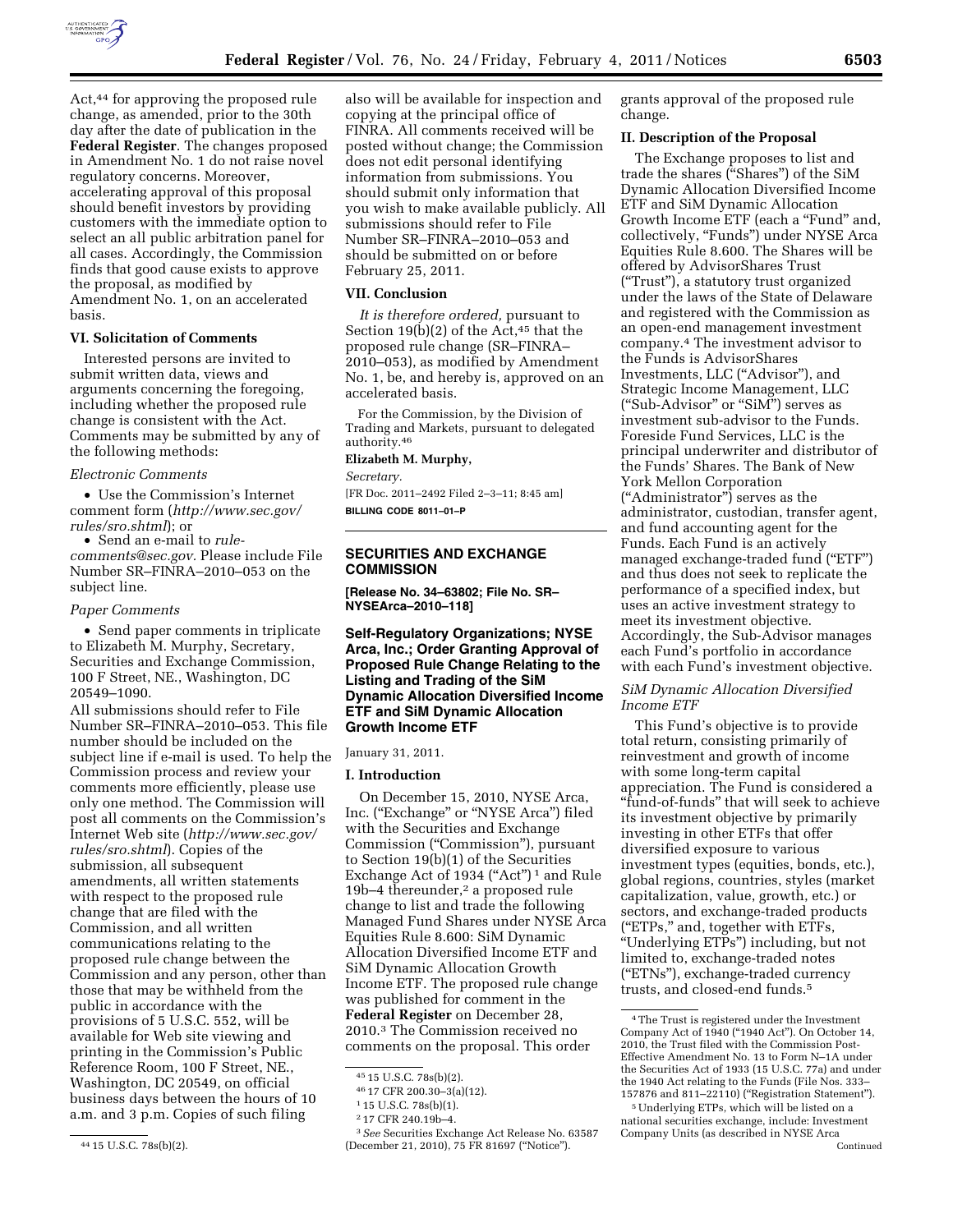

Act,44 for approving the proposed rule change, as amended, prior to the 30th day after the date of publication in the **Federal Register**. The changes proposed in Amendment No. 1 do not raise novel regulatory concerns. Moreover, accelerating approval of this proposal should benefit investors by providing customers with the immediate option to select an all public arbitration panel for all cases. Accordingly, the Commission finds that good cause exists to approve the proposal, as modified by Amendment No. 1, on an accelerated basis.

# **VI. Solicitation of Comments**

Interested persons are invited to submit written data, views and arguments concerning the foregoing, including whether the proposed rule change is consistent with the Act. Comments may be submitted by any of the following methods:

#### *Electronic Comments*

• Use the Commission's Internet comment form (*[http://www.sec.gov/](http://www.sec.gov/rules/sro.shtml)  [rules/sro.shtml](http://www.sec.gov/rules/sro.shtml)*); or

• Send an e-mail to *[rule](mailto:rule-comments@sec.gov)[comments@sec.gov.](mailto:rule-comments@sec.gov)* Please include File Number SR–FINRA–2010–053 on the subject line.

#### *Paper Comments*

• Send paper comments in triplicate to Elizabeth M. Murphy, Secretary, Securities and Exchange Commission, 100 F Street, NE., Washington, DC 20549–1090.

All submissions should refer to File Number SR–FINRA–2010–053. This file number should be included on the subject line if e-mail is used. To help the Commission process and review your comments more efficiently, please use only one method. The Commission will post all comments on the Commission's Internet Web site (*[http://www.sec.gov/](http://www.sec.gov/rules/sro.shtml)  [rules/sro.shtml](http://www.sec.gov/rules/sro.shtml)*). Copies of the submission, all subsequent amendments, all written statements with respect to the proposed rule change that are filed with the Commission, and all written communications relating to the proposed rule change between the Commission and any person, other than those that may be withheld from the public in accordance with the provisions of 5 U.S.C. 552, will be available for Web site viewing and printing in the Commission's Public Reference Room, 100 F Street, NE., Washington, DC 20549, on official business days between the hours of 10 a.m. and 3 p.m. Copies of such filing

44 15 U.S.C. 78s(b)(2).

also will be available for inspection and copying at the principal office of FINRA. All comments received will be posted without change; the Commission does not edit personal identifying information from submissions. You should submit only information that you wish to make available publicly. All submissions should refer to File Number SR–FINRA–2010–053 and should be submitted on or before February 25, 2011.

#### **VII. Conclusion**

*It is therefore ordered,* pursuant to Section 19(b)(2) of the Act, $45$  that the proposed rule change (SR–FINRA– 2010–053), as modified by Amendment No. 1, be, and hereby is, approved on an accelerated basis.

For the Commission, by the Division of Trading and Markets, pursuant to delegated authority.46

### **Elizabeth M. Murphy,**

*Secretary.* 

[FR Doc. 2011–2492 Filed 2–3–11; 8:45 am] **BILLING CODE 8011–01–P** 

# **SECURITIES AND EXCHANGE COMMISSION**

**[Release No. 34–63802; File No. SR– NYSEArca–2010–118]** 

# **Self-Regulatory Organizations; NYSE Arca, Inc.; Order Granting Approval of Proposed Rule Change Relating to the Listing and Trading of the SiM Dynamic Allocation Diversified Income ETF and SiM Dynamic Allocation Growth Income ETF**

#### January 31, 2011.

### **I. Introduction**

On December 15, 2010, NYSE Arca, Inc. (''Exchange'' or ''NYSE Arca'') filed with the Securities and Exchange Commission (''Commission''), pursuant to Section 19(b)(1) of the Securities Exchange Act of 1934 ("Act")<sup>1</sup> and Rule 19b–4 thereunder,<sup>2</sup> a proposed rule change to list and trade the following Managed Fund Shares under NYSE Arca Equities Rule 8.600: SiM Dynamic Allocation Diversified Income ETF and SiM Dynamic Allocation Growth Income ETF. The proposed rule change was published for comment in the **Federal Register** on December 28, 2010.3 The Commission received no comments on the proposal. This order

grants approval of the proposed rule change.

#### **II. Description of the Proposal**

The Exchange proposes to list and trade the shares (''Shares'') of the SiM Dynamic Allocation Diversified Income ETF and SiM Dynamic Allocation Growth Income ETF (each a "Fund" and, collectively, "Funds") under NYSE Arca Equities Rule 8.600. The Shares will be offered by AdvisorShares Trust (''Trust''), a statutory trust organized under the laws of the State of Delaware and registered with the Commission as an open-end management investment company.4 The investment advisor to the Funds is AdvisorShares Investments, LLC (''Advisor''), and Strategic Income Management, LLC (''Sub-Advisor'' or ''SiM'') serves as investment sub-advisor to the Funds. Foreside Fund Services, LLC is the principal underwriter and distributor of the Funds' Shares. The Bank of New York Mellon Corporation (''Administrator'') serves as the administrator, custodian, transfer agent, and fund accounting agent for the Funds. Each Fund is an actively managed exchange-traded fund ("ETF") and thus does not seek to replicate the performance of a specified index, but uses an active investment strategy to meet its investment objective. Accordingly, the Sub-Advisor manages each Fund's portfolio in accordance with each Fund's investment objective.

### *SiM Dynamic Allocation Diversified Income ETF*

This Fund's objective is to provide total return, consisting primarily of reinvestment and growth of income with some long-term capital appreciation. The Fund is considered a ''fund-of-funds'' that will seek to achieve its investment objective by primarily investing in other ETFs that offer diversified exposure to various investment types (equities, bonds, etc.), global regions, countries, styles (market capitalization, value, growth, etc.) or sectors, and exchange-traded products (''ETPs,'' and, together with ETFs, ''Underlying ETPs'') including, but not limited to, exchange-traded notes (''ETNs''), exchange-traded currency trusts, and closed-end funds.5

<sup>45</sup> 15 U.S.C. 78s(b)(2).

<sup>46</sup> 17 CFR 200.30–3(a)(12).

<sup>1</sup> 15 U.S.C. 78s(b)(1).

<sup>2</sup> 17 CFR 240.19b–4.

<sup>3</sup>*See* Securities Exchange Act Release No. 63587 (December 21, 2010), 75 FR 81697 (''Notice'').

<sup>4</sup>The Trust is registered under the Investment Company Act of 1940 (''1940 Act''). On October 14, 2010, the Trust filed with the Commission Post-Effective Amendment No. 13 to Form N–1A under the Securities Act of 1933 (15 U.S.C. 77a) and under the 1940 Act relating to the Funds (File Nos. 333– 157876 and 811–22110) (''Registration Statement'').

<sup>5</sup>Underlying ETPs, which will be listed on a national securities exchange, include: Investment Company Units (as described in NYSE Arca Continued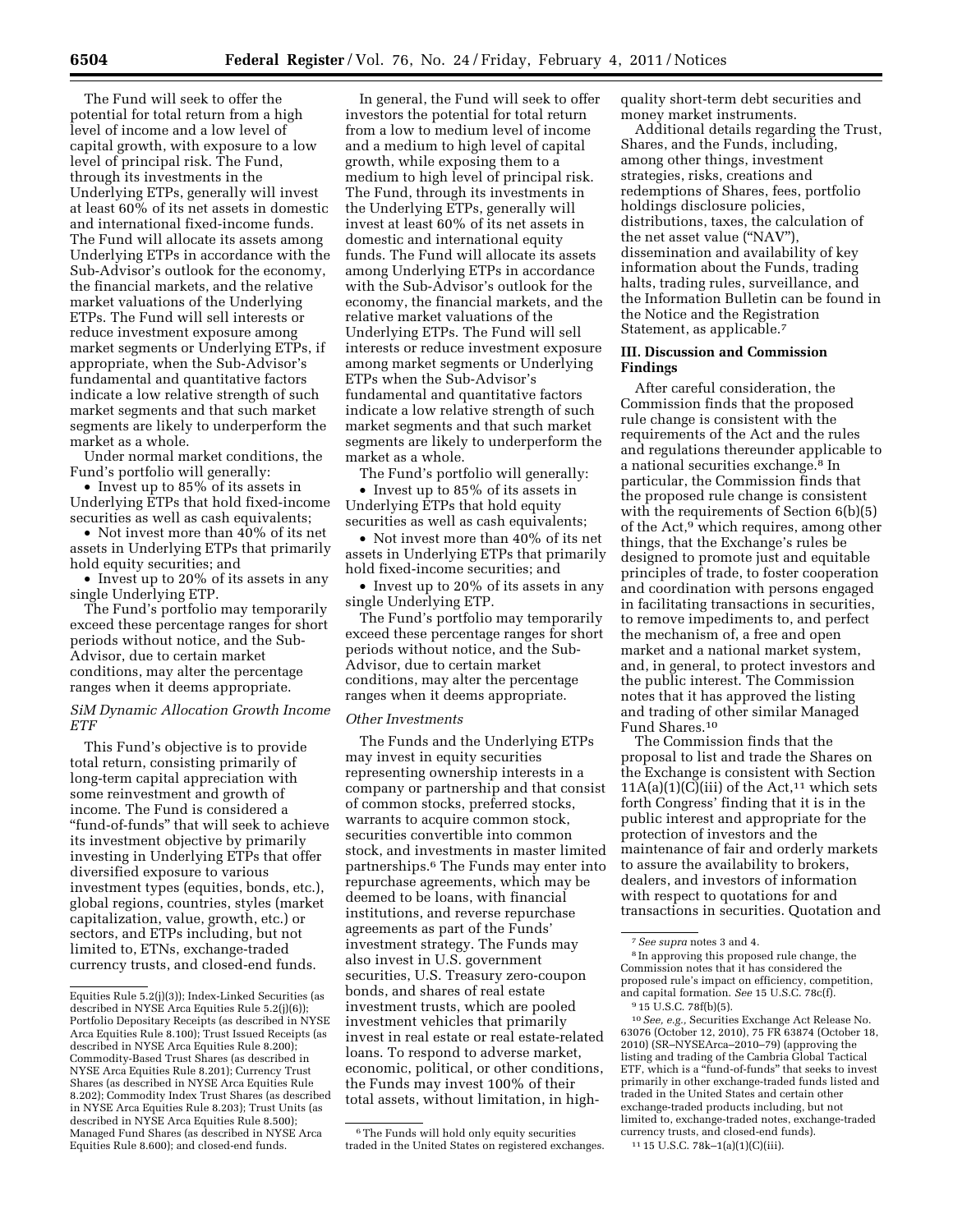The Fund will seek to offer the potential for total return from a high level of income and a low level of capital growth, with exposure to a low level of principal risk. The Fund, through its investments in the Underlying ETPs, generally will invest at least 60% of its net assets in domestic and international fixed-income funds. The Fund will allocate its assets among Underlying ETPs in accordance with the Sub-Advisor's outlook for the economy, the financial markets, and the relative market valuations of the Underlying ETPs. The Fund will sell interests or reduce investment exposure among market segments or Underlying ETPs, if appropriate, when the Sub-Advisor's fundamental and quantitative factors indicate a low relative strength of such market segments and that such market segments are likely to underperform the market as a whole.

Under normal market conditions, the Fund's portfolio will generally:

• Invest up to 85% of its assets in Underlying ETPs that hold fixed-income securities as well as cash equivalents;

• Not invest more than 40% of its net assets in Underlying ETPs that primarily hold equity securities; and

• Invest up to 20% of its assets in any single Underlying ETP.

The Fund's portfolio may temporarily exceed these percentage ranges for short periods without notice, and the Sub-Advisor, due to certain market conditions, may alter the percentage ranges when it deems appropriate.

# *SiM Dynamic Allocation Growth Income ETF*

This Fund's objective is to provide total return, consisting primarily of long-term capital appreciation with some reinvestment and growth of income. The Fund is considered a ''fund-of-funds'' that will seek to achieve its investment objective by primarily investing in Underlying ETPs that offer diversified exposure to various investment types (equities, bonds, etc.), global regions, countries, styles (market capitalization, value, growth, etc.) or sectors, and ETPs including, but not limited to, ETNs, exchange-traded currency trusts, and closed-end funds.

In general, the Fund will seek to offer investors the potential for total return from a low to medium level of income and a medium to high level of capital growth, while exposing them to a medium to high level of principal risk. The Fund, through its investments in the Underlying ETPs, generally will invest at least 60% of its net assets in domestic and international equity funds. The Fund will allocate its assets among Underlying ETPs in accordance with the Sub-Advisor's outlook for the economy, the financial markets, and the relative market valuations of the Underlying ETPs. The Fund will sell interests or reduce investment exposure among market segments or Underlying ETPs when the Sub-Advisor's fundamental and quantitative factors indicate a low relative strength of such market segments and that such market segments are likely to underperform the market as a whole.

The Fund's portfolio will generally:

• Invest up to 85% of its assets in Underlying ETPs that hold equity securities as well as cash equivalents;

• Not invest more than 40% of its net assets in Underlying ETPs that primarily hold fixed-income securities; and

• Invest up to 20% of its assets in any single Underlying ETP.

The Fund's portfolio may temporarily exceed these percentage ranges for short periods without notice, and the Sub-Advisor, due to certain market conditions, may alter the percentage ranges when it deems appropriate.

#### *Other Investments*

The Funds and the Underlying ETPs may invest in equity securities representing ownership interests in a company or partnership and that consist of common stocks, preferred stocks, warrants to acquire common stock, securities convertible into common stock, and investments in master limited partnerships.6 The Funds may enter into repurchase agreements, which may be deemed to be loans, with financial institutions, and reverse repurchase agreements as part of the Funds' investment strategy. The Funds may also invest in U.S. government securities, U.S. Treasury zero-coupon bonds, and shares of real estate investment trusts, which are pooled investment vehicles that primarily invest in real estate or real estate-related loans. To respond to adverse market, economic, political, or other conditions, the Funds may invest 100% of their total assets, without limitation, in high-

6The Funds will hold only equity securities traded in the United States on registered exchanges. quality short-term debt securities and money market instruments.

Additional details regarding the Trust, Shares, and the Funds, including, among other things, investment strategies, risks, creations and redemptions of Shares, fees, portfolio holdings disclosure policies, distributions, taxes, the calculation of the net asset value ("NAV") dissemination and availability of key information about the Funds, trading halts, trading rules, surveillance, and the Information Bulletin can be found in the Notice and the Registration Statement, as applicable.<sup>7</sup>

### **III. Discussion and Commission Findings**

After careful consideration, the Commission finds that the proposed rule change is consistent with the requirements of the Act and the rules and regulations thereunder applicable to a national securities exchange.8 In particular, the Commission finds that the proposed rule change is consistent with the requirements of Section 6(b)(5) of the Act,9 which requires, among other things, that the Exchange's rules be designed to promote just and equitable principles of trade, to foster cooperation and coordination with persons engaged in facilitating transactions in securities, to remove impediments to, and perfect the mechanism of, a free and open market and a national market system, and, in general, to protect investors and the public interest. The Commission notes that it has approved the listing and trading of other similar Managed Fund Shares.10

The Commission finds that the proposal to list and trade the Shares on the Exchange is consistent with Section  $11A(a)(1)(C(iii)$  of the Act,<sup>11</sup> which sets forth Congress' finding that it is in the public interest and appropriate for the protection of investors and the maintenance of fair and orderly markets to assure the availability to brokers, dealers, and investors of information with respect to quotations for and transactions in securities. Quotation and

8 In approving this proposed rule change, the Commission notes that it has considered the proposed rule's impact on efficiency, competition, and capital formation. *See* 15 U.S.C. 78c(f).

10*See, e.g.,* Securities Exchange Act Release No. 63076 (October 12, 2010), 75 FR 63874 (October 18, 2010) (SR–NYSEArca–2010–79) (approving the listing and trading of the Cambria Global Tactical ETF, which is a ''fund-of-funds'' that seeks to invest primarily in other exchange-traded funds listed and traded in the United States and certain other exchange-traded products including, but not limited to, exchange-traded notes, exchange-traded currency trusts, and closed-end funds).

11 15 U.S.C. 78k–1(a)(1)(C)(iii).

Equities Rule 5.2(j)(3)); Index-Linked Securities (as described in NYSE Arca Equities Rule 5.2(j)(6)); Portfolio Depositary Receipts (as described in NYSE Arca Equities Rule 8.100); Trust Issued Receipts (as described in NYSE Arca Equities Rule 8.200); Commodity-Based Trust Shares (as described in NYSE Arca Equities Rule 8.201); Currency Trust Shares (as described in NYSE Arca Equities Rule 8.202); Commodity Index Trust Shares (as described in NYSE Arca Equities Rule 8.203); Trust Units (as described in NYSE Arca Equities Rule 8.500); Managed Fund Shares (as described in NYSE Arca Equities Rule 8.600); and closed-end funds.

<sup>7</sup>*See supra* notes 3 and 4.

<sup>9</sup> 15 U.S.C. 78f(b)(5).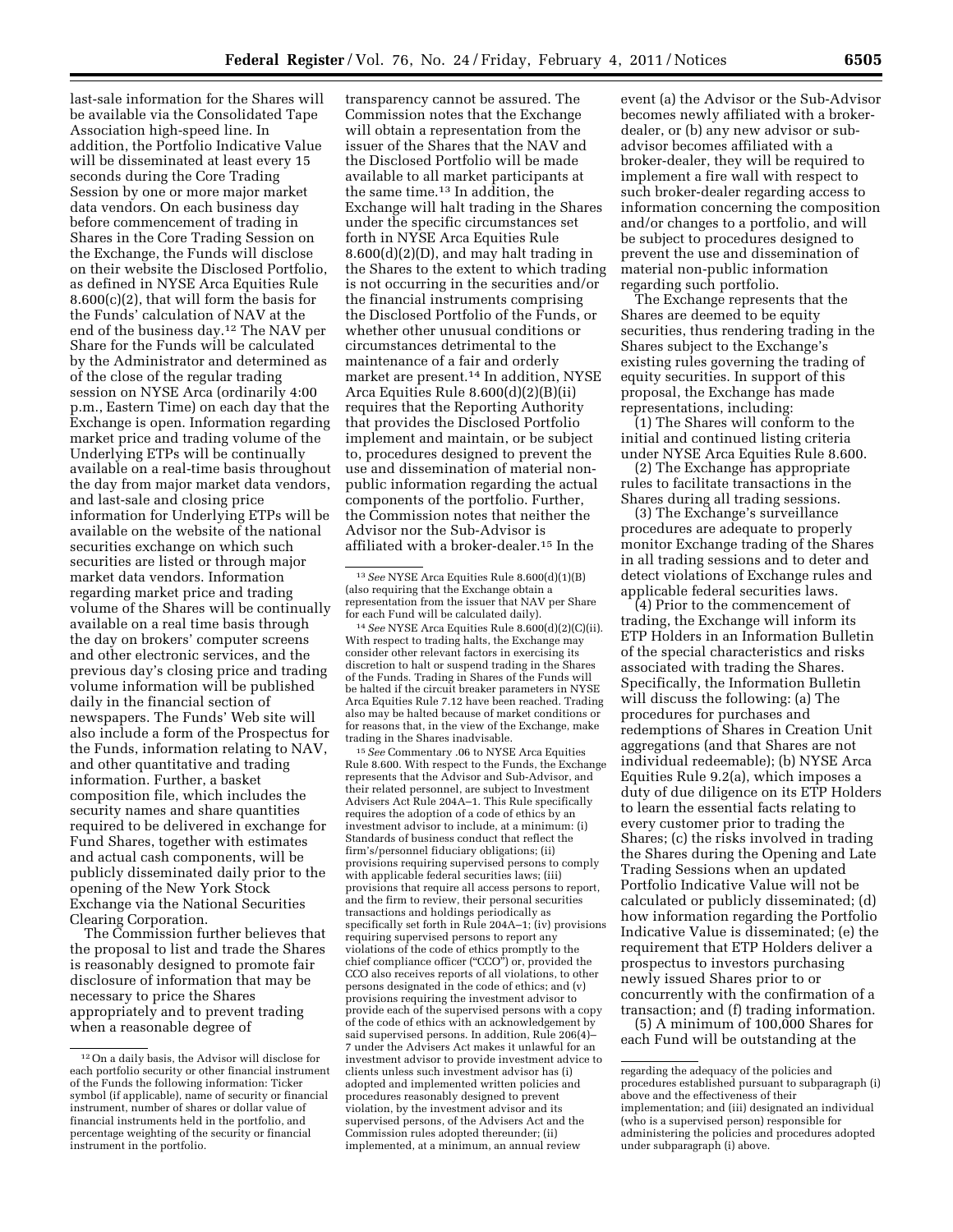last-sale information for the Shares will be available via the Consolidated Tape Association high-speed line. In addition, the Portfolio Indicative Value will be disseminated at least every 15 seconds during the Core Trading Session by one or more major market data vendors. On each business day before commencement of trading in Shares in the Core Trading Session on the Exchange, the Funds will disclose on their website the Disclosed Portfolio, as defined in NYSE Arca Equities Rule 8.600(c)(2), that will form the basis for the Funds' calculation of NAV at the end of the business day.12 The NAV per Share for the Funds will be calculated by the Administrator and determined as of the close of the regular trading session on NYSE Arca (ordinarily 4:00 p.m., Eastern Time) on each day that the Exchange is open. Information regarding market price and trading volume of the Underlying ETPs will be continually available on a real-time basis throughout the day from major market data vendors, and last-sale and closing price information for Underlying ETPs will be available on the website of the national securities exchange on which such securities are listed or through major market data vendors. Information regarding market price and trading volume of the Shares will be continually available on a real time basis through the day on brokers' computer screens and other electronic services, and the previous day's closing price and trading volume information will be published daily in the financial section of newspapers. The Funds' Web site will also include a form of the Prospectus for the Funds, information relating to NAV, and other quantitative and trading information. Further, a basket composition file, which includes the security names and share quantities required to be delivered in exchange for Fund Shares, together with estimates and actual cash components, will be publicly disseminated daily prior to the opening of the New York Stock Exchange via the National Securities Clearing Corporation.

The Commission further believes that the proposal to list and trade the Shares is reasonably designed to promote fair disclosure of information that may be necessary to price the Shares appropriately and to prevent trading when a reasonable degree of

transparency cannot be assured. The Commission notes that the Exchange will obtain a representation from the issuer of the Shares that the NAV and the Disclosed Portfolio will be made available to all market participants at the same time.13 In addition, the Exchange will halt trading in the Shares under the specific circumstances set forth in NYSE Arca Equities Rule 8.600(d)(2)(D), and may halt trading in the Shares to the extent to which trading is not occurring in the securities and/or the financial instruments comprising the Disclosed Portfolio of the Funds, or whether other unusual conditions or circumstances detrimental to the maintenance of a fair and orderly market are present.14 In addition, NYSE Arca Equities Rule 8.600(d)(2)(B)(ii) requires that the Reporting Authority that provides the Disclosed Portfolio implement and maintain, or be subject to, procedures designed to prevent the use and dissemination of material nonpublic information regarding the actual components of the portfolio. Further, the Commission notes that neither the Advisor nor the Sub-Advisor is affiliated with a broker-dealer.15 In the

14*See* NYSE Arca Equities Rule 8.600(d)(2)(C)(ii). With respect to trading halts, the Exchange may consider other relevant factors in exercising its discretion to halt or suspend trading in the Shares of the Funds. Trading in Shares of the Funds will be halted if the circuit breaker parameters in NYSE Arca Equities Rule 7.12 have been reached. Trading also may be halted because of market conditions or for reasons that, in the view of the Exchange, make trading in the Shares inadvisable.

15*See* Commentary .06 to NYSE Arca Equities Rule 8.600. With respect to the Funds, the Exchange represents that the Advisor and Sub-Advisor, and their related personnel, are subject to Investment Advisers Act Rule 204A–1. This Rule specifically requires the adoption of a code of ethics by an investment advisor to include, at a minimum: (i) Standards of business conduct that reflect the firm's/personnel fiduciary obligations; (ii) provisions requiring supervised persons to comply with applicable federal securities laws; (iii) provisions that require all access persons to report, and the firm to review, their personal securities transactions and holdings periodically as specifically set forth in Rule 204A–1; (iv) provisions requiring supervised persons to report any violations of the code of ethics promptly to the chief compliance officer (''CCO'') or, provided the CCO also receives reports of all violations, to other persons designated in the code of ethics; and (v) provisions requiring the investment advisor to provide each of the supervised persons with a copy of the code of ethics with an acknowledgement by said supervised persons. In addition, Rule 206(4)– 7 under the Advisers Act makes it unlawful for an investment advisor to provide investment advice to clients unless such investment advisor has (i) adopted and implemented written policies and procedures reasonably designed to prevent violation, by the investment advisor and its supervised persons, of the Advisers Act and the Commission rules adopted thereunder; (ii) implemented, at a minimum, an annual review

event (a) the Advisor or the Sub-Advisor becomes newly affiliated with a brokerdealer, or (b) any new advisor or subadvisor becomes affiliated with a broker-dealer, they will be required to implement a fire wall with respect to such broker-dealer regarding access to information concerning the composition and/or changes to a portfolio, and will be subject to procedures designed to prevent the use and dissemination of material non-public information regarding such portfolio.

The Exchange represents that the Shares are deemed to be equity securities, thus rendering trading in the Shares subject to the Exchange's existing rules governing the trading of equity securities. In support of this proposal, the Exchange has made representations, including:

(1) The Shares will conform to the initial and continued listing criteria under NYSE Arca Equities Rule 8.600.

(2) The Exchange has appropriate rules to facilitate transactions in the Shares during all trading sessions.

(3) The Exchange's surveillance procedures are adequate to properly monitor Exchange trading of the Shares in all trading sessions and to deter and detect violations of Exchange rules and applicable federal securities laws.

(4) Prior to the commencement of trading, the Exchange will inform its ETP Holders in an Information Bulletin of the special characteristics and risks associated with trading the Shares. Specifically, the Information Bulletin will discuss the following: (a) The procedures for purchases and redemptions of Shares in Creation Unit aggregations (and that Shares are not individual redeemable); (b) NYSE Arca Equities Rule 9.2(a), which imposes a duty of due diligence on its ETP Holders to learn the essential facts relating to every customer prior to trading the Shares; (c) the risks involved in trading the Shares during the Opening and Late Trading Sessions when an updated Portfolio Indicative Value will not be calculated or publicly disseminated; (d) how information regarding the Portfolio Indicative Value is disseminated; (e) the requirement that ETP Holders deliver a prospectus to investors purchasing newly issued Shares prior to or concurrently with the confirmation of a transaction; and (f) trading information.

(5) A minimum of 100,000 Shares for each Fund will be outstanding at the

<sup>12</sup>On a daily basis, the Advisor will disclose for each portfolio security or other financial instrument of the Funds the following information: Ticker symbol (if applicable), name of security or financial instrument, number of shares or dollar value of financial instruments held in the portfolio, and percentage weighting of the security or financial instrument in the portfolio.

<sup>13</sup>*See* NYSE Arca Equities Rule 8.600(d)(1)(B) (also requiring that the Exchange obtain a representation from the issuer that NAV per Share for each Fund will be calculated daily).

regarding the adequacy of the policies and procedures established pursuant to subparagraph (i) above and the effectiveness of their implementation; and (iii) designated an individual (who is a supervised person) responsible for administering the policies and procedures adopted under subparagraph (i) above.